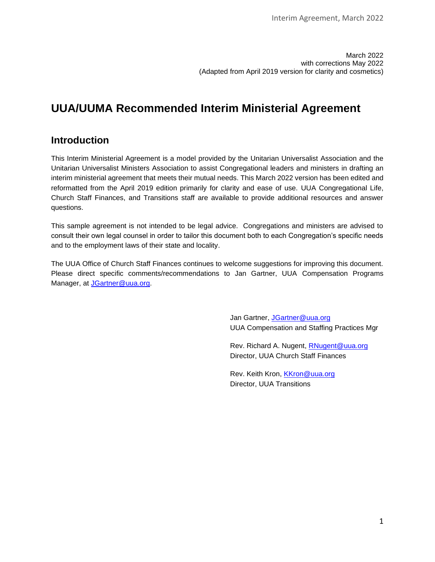March 2022 with corrections May 2022 (Adapted from April 2019 version for clarity and cosmetics)

# **UUA/UUMA Recommended Interim Ministerial Agreement**

# **Introduction**

This Interim Ministerial Agreement is a model provided by the Unitarian Universalist Association and the Unitarian Universalist Ministers Association to assist Congregational leaders and ministers in drafting an interim ministerial agreement that meets their mutual needs. This March 2022 version has been edited and reformatted from the April 2019 edition primarily for clarity and ease of use. UUA Congregational Life, Church Staff Finances, and Transitions staff are available to provide additional resources and answer questions.

This sample agreement is not intended to be legal advice. Congregations and ministers are advised to consult their own legal counsel in order to tailor this document both to each Congregation's specific needs and to the employment laws of their state and locality.

The UUA Office of Church Staff Finances continues to welcome suggestions for improving this document. Please direct specific comments/recommendations to Jan Gartner, UUA Compensation Programs Manager, at [JGartner@uua.org.](mailto:JGartner@uua.org)

> Jan Gartner, [JGartner@uua.org](mailto:JGartner@uua.org) UUA Compensation and Staffing Practices Mgr

Rev. Richard A. Nugent, [RNugent@uua.org](mailto:RNugent@uua.org) Director, UUA Church Staff Finances

Rev. Keith Kron, [KKron@uua.org](mailto:KKron@uua.org) Director, UUA Transitions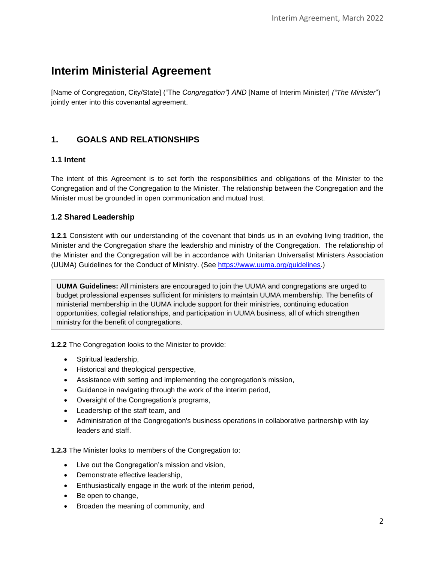# **Interim Ministerial Agreement**

[Name of Congregation, City/State] ("The *Congregation") AND* [Name of Interim Minister] *("The Minister*") jointly enter into this covenantal agreement.

## **1. GOALS AND RELATIONSHIPS**

## **1.1 Intent**

The intent of this Agreement is to set forth the responsibilities and obligations of the Minister to the Congregation and of the Congregation to the Minister. The relationship between the Congregation and the Minister must be grounded in open communication and mutual trust.

## **1.2 Shared Leadership**

**1.2.1** Consistent with our understanding of the covenant that binds us in an evolving living tradition, the Minister and the Congregation share the leadership and ministry of the Congregation. The relationship of the Minister and the Congregation will be in accordance with Unitarian Universalist Ministers Association (UUMA) Guidelines for the Conduct of Ministry. (See [https://www.uuma.org/guidelines.](https://www.uuma.org/guidelines))

**UUMA Guidelines:** All ministers are encouraged to join the UUMA and congregations are urged to budget professional expenses sufficient for ministers to maintain UUMA membership. The benefits of ministerial membership in the UUMA include support for their ministries, continuing education opportunities, collegial relationships, and participation in UUMA business, all of which strengthen ministry for the benefit of congregations.

**1.2.2** The Congregation looks to the Minister to provide:

- Spiritual leadership,
- Historical and theological perspective,
- Assistance with setting and implementing the congregation's mission,
- Guidance in navigating through the work of the interim period,
- Oversight of the Congregation's programs,
- Leadership of the staff team, and
- Administration of the Congregation's business operations in collaborative partnership with lay leaders and staff.

**1.2.3** The Minister looks to members of the Congregation to:

- Live out the Congregation's mission and vision,
- Demonstrate effective leadership,
- Enthusiastically engage in the work of the interim period,
- Be open to change,
- Broaden the meaning of community, and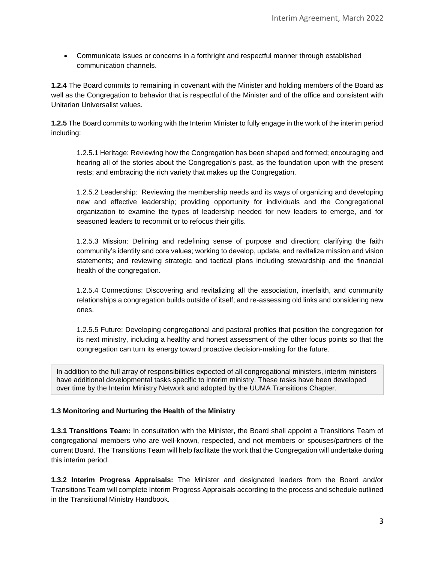• Communicate issues or concerns in a forthright and respectful manner through established communication channels.

**1.2.4** The Board commits to remaining in covenant with the Minister and holding members of the Board as well as the Congregation to behavior that is respectful of the Minister and of the office and consistent with Unitarian Universalist values.

**1.2.5** The Board commits to working with the Interim Minister to fully engage in the work of the interim period including:

1.2.5.1 Heritage: Reviewing how the Congregation has been shaped and formed; encouraging and hearing all of the stories about the Congregation's past, as the foundation upon with the present rests; and embracing the rich variety that makes up the Congregation.

1.2.5.2 Leadership: Reviewing the membership needs and its ways of organizing and developing new and effective leadership; providing opportunity for individuals and the Congregational organization to examine the types of leadership needed for new leaders to emerge, and for seasoned leaders to recommit or to refocus their gifts.

1.2.5.3 Mission: Defining and redefining sense of purpose and direction; clarifying the faith community's identity and core values; working to develop, update, and revitalize mission and vision statements; and reviewing strategic and tactical plans including stewardship and the financial health of the congregation.

1.2.5.4 Connections: Discovering and revitalizing all the association, interfaith, and community relationships a congregation builds outside of itself; and re-assessing old links and considering new ones.

1.2.5.5 Future: Developing congregational and pastoral profiles that position the congregation for its next ministry, including a healthy and honest assessment of the other focus points so that the congregation can turn its energy toward proactive decision-making for the future.

In addition to the full array of responsibilities expected of all congregational ministers, interim ministers have additional developmental tasks specific to interim ministry. These tasks have been developed over time by the Interim Ministry Network and adopted by the UUMA Transitions Chapter.

#### **1.3 Monitoring and Nurturing the Health of the Ministry**

**1.3.1 Transitions Team:** In consultation with the Minister, the Board shall appoint a Transitions Team of congregational members who are well-known, respected, and not members or spouses/partners of the current Board. The Transitions Team will help facilitate the work that the Congregation will undertake during this interim period.

**1.3.2 Interim Progress Appraisals:** The Minister and designated leaders from the Board and/or Transitions Team will complete Interim Progress Appraisals according to the process and schedule outlined in the Transitional Ministry Handbook.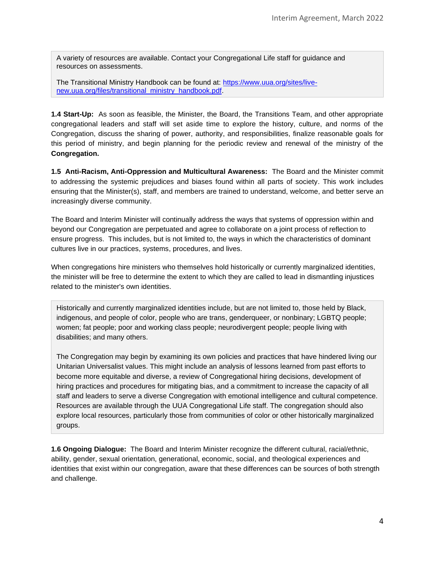A variety of resources are available. Contact your Congregational Life staff for guidance and resources on assessments.

The Transitional Ministry Handbook can be found at: [https://www.uua.org/sites/live](https://www.uua.org/sites/live-new.uua.org/files/transitional_ministry_handbook.pdf)[new.uua.org/files/transitional\\_ministry\\_handbook.pdf.](https://www.uua.org/sites/live-new.uua.org/files/transitional_ministry_handbook.pdf)

**1.4 Start-Up:** As soon as feasible, the Minister, the Board, the Transitions Team, and other appropriate congregational leaders and staff will set aside time to explore the history, culture, and norms of the Congregation, discuss the sharing of power, authority, and responsibilities, finalize reasonable goals for this period of ministry, and begin planning for the periodic review and renewal of the ministry of the **Congregation.**

**1.5 Anti-Racism, Anti-Oppression and Multicultural Awareness:** The Board and the Minister commit to addressing the systemic prejudices and biases found within all parts of society. This work includes ensuring that the Minister(s), staff, and members are trained to understand, welcome, and better serve an increasingly diverse community.

The Board and Interim Minister will continually address the ways that systems of oppression within and beyond our Congregation are perpetuated and agree to collaborate on a joint process of reflection to ensure progress. This includes, but is not limited to, the ways in which the characteristics of dominant cultures live in our practices, systems, procedures, and lives.

When congregations hire ministers who themselves hold historically or currently marginalized identities, the minister will be free to determine the extent to which they are called to lead in dismantling injustices related to the minister's own identities.

Historically and currently marginalized identities include, but are not limited to, those held by Black, indigenous, and people of color, people who are trans, genderqueer, or nonbinary; LGBTQ people; women; fat people; poor and working class people; neurodivergent people; people living with disabilities; and many others.

The Congregation may begin by examining its own policies and practices that have hindered living our Unitarian Universalist values. This might include an analysis of lessons learned from past efforts to become more equitable and diverse, a review of Congregational hiring decisions, development of hiring practices and procedures for mitigating bias, and a commitment to increase the capacity of all staff and leaders to serve a diverse Congregation with emotional intelligence and cultural competence. Resources are available through the UUA Congregational Life staff. The congregation should also explore local resources, particularly those from communities of color or other historically marginalized groups.

**1.6 Ongoing Dialogue:** The Board and Interim Minister recognize the different cultural, racial/ethnic, ability, gender, sexual orientation, generational, economic, social, and theological experiences and identities that exist within our congregation, aware that these differences can be sources of both strength and challenge.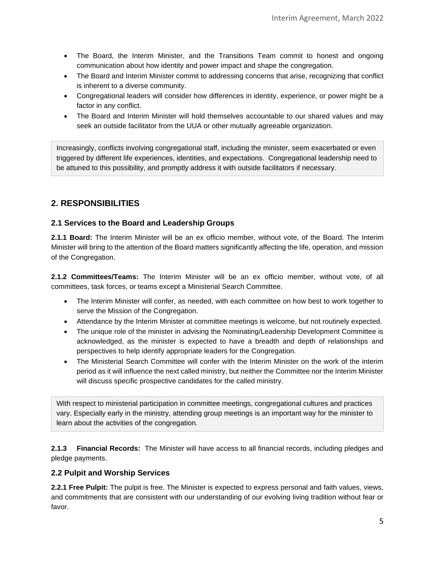- The Board, the Interim Minister, and the Transitions Team commit to honest and ongoing communication about how identity and power impact and shape the congregation.
- The Board and Interim Minister commit to addressing concerns that arise, recognizing that conflict is inherent to a diverse community.
- Congregational leaders will consider how differences in identity, experience, or power might be a factor in any conflict.
- The Board and Interim Minister will hold themselves accountable to our shared values and may seek an outside facilitator from the UUA or other mutually agreeable organization.

Increasingly, conflicts involving congregational staff, including the minister, seem exacerbated or even triggered by different life experiences, identities, and expectations. Congregational leadership need to be attuned to this possibility, and promptly address it with outside facilitators if necessary.

# **2. RESPONSIBILITIES**

## **2.1 Services to the Board and Leadership Groups**

**2.1.1 Board:** The Interim Minister will be an ex officio member, without vote, of the Board. The Interim Minister will bring to the attention of the Board matters significantly affecting the life, operation, and mission of the Congregation.

**2.1.2 Committees/Teams:** The Interim Minister will be an ex officio member, without vote, of all committees, task forces, or teams except a Ministerial Search Committee.

- The Interim Minister will confer, as needed, with each committee on how best to work together to serve the Mission of the Congregation.
- Attendance by the Interim Minister at committee meetings is welcome, but not routinely expected.
- The unique role of the minister in advising the Nominating/Leadership Development Committee is acknowledged, as the minister is expected to have a breadth and depth of relationships and perspectives to help identify appropriate leaders for the Congregation.
- The Ministerial Search Committee will confer with the Interim Minister on the work of the interim period as it will influence the next called ministry, but neither the Committee nor the Interim Minister will discuss specific prospective candidates for the called ministry.

With respect to ministerial participation in committee meetings, congregational cultures and practices vary. Especially early in the ministry, attending group meetings is an important way for the minister to learn about the activities of the congregation.

**2.1.3 Financial Records:** The Minister will have access to all financial records, including pledges and pledge payments.

#### **2.2 Pulpit and Worship Services**

**2.2.1 Free Pulpit:** The pulpit is free. The Minister is expected to express personal and faith values, views, and commitments that are consistent with our understanding of our evolving living tradition without fear or favor.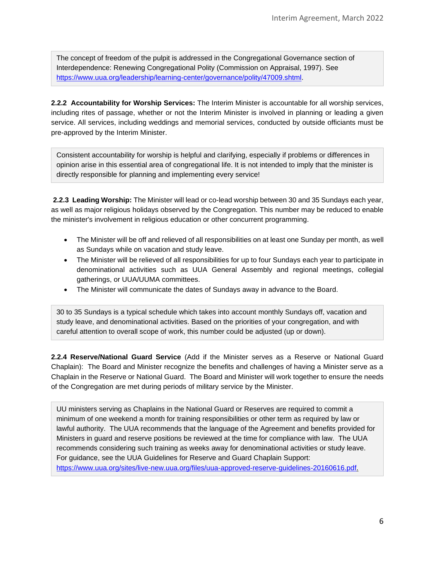The concept of freedom of the pulpit is addressed in the Congregational Governance section of Interdependence: Renewing Congregational Polity (Commission on Appraisal, 1997). See [https://www.uua.org/leadership/learning-center/governance/polity/47009.shtml.](https://www.uua.org/leadership/learning-center/governance/polity/47009.shtml)

**2.2.2 Accountability for Worship Services:** The Interim Minister is accountable for all worship services, including rites of passage, whether or not the Interim Minister is involved in planning or leading a given service. All services, including weddings and memorial services, conducted by outside officiants must be pre-approved by the Interim Minister.

Consistent accountability for worship is helpful and clarifying, especially if problems or differences in opinion arise in this essential area of congregational life. It is not intended to imply that the minister is directly responsible for planning and implementing every service!

**2.2.3 Leading Worship:** The Minister will lead or co-lead worship between 30 and 35 Sundays each year, as well as major religious holidays observed by the Congregation. This number may be reduced to enable the minister's involvement in religious education or other concurrent programming.

- The Minister will be off and relieved of all responsibilities on at least one Sunday per month, as well as Sundays while on vacation and study leave.
- The Minister will be relieved of all responsibilities for up to four Sundays each year to participate in denominational activities such as UUA General Assembly and regional meetings, collegial gatherings, or UUA/UUMA committees.
- The Minister will communicate the dates of Sundays away in advance to the Board.

30 to 35 Sundays is a typical schedule which takes into account monthly Sundays off, vacation and study leave, and denominational activities. Based on the priorities of your congregation, and with careful attention to overall scope of work, this number could be adjusted (up or down).

**2.2.4 Reserve/National Guard Service** (Add if the Minister serves as a Reserve or National Guard Chaplain): The Board and Minister recognize the benefits and challenges of having a Minister serve as a Chaplain in the Reserve or National Guard. The Board and Minister will work together to ensure the needs of the Congregation are met during periods of military service by the Minister.

UU ministers serving as Chaplains in the National Guard or Reserves are required to commit a minimum of one weekend a month for training responsibilities or other term as required by law or lawful authority. The UUA recommends that the language of the Agreement and benefits provided for Ministers in guard and reserve positions be reviewed at the time for compliance with law. The UUA recommends considering such training as weeks away for denominational activities or study leave. For guidance, see the UUA Guidelines for Reserve and Guard Chaplain Support: [https://www.uua.org/sites/live-new.uua.org/files/uua-approved-reserve-guidelines-20160616.pdf.](https://www.uua.org/sites/live-new.uua.org/files/uua-approved-reserve-guidelines-20160616.pdf)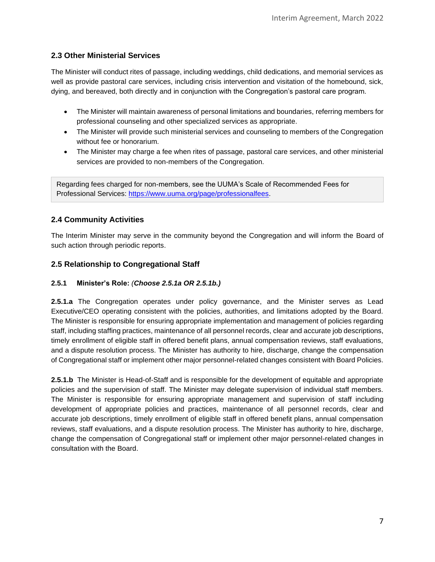## **2.3 Other Ministerial Services**

The Minister will conduct rites of passage, including weddings, child dedications, and memorial services as well as provide pastoral care services, including crisis intervention and visitation of the homebound, sick, dying, and bereaved, both directly and in conjunction with the Congregation's pastoral care program.

- The Minister will maintain awareness of personal limitations and boundaries, referring members for professional counseling and other specialized services as appropriate.
- The Minister will provide such ministerial services and counseling to members of the Congregation without fee or honorarium.
- The Minister may charge a fee when rites of passage, pastoral care services, and other ministerial services are provided to non-members of the Congregation.

Regarding fees charged for non-members, see the UUMA's Scale of Recommended Fees for Professional Services: [https://www.uuma.org/page/professionalfees.](https://www.uuma.org/page/professionalfees)

#### **2.4 Community Activities**

The Interim Minister may serve in the community beyond the Congregation and will inform the Board of such action through periodic reports.

#### **2.5 Relationship to Congregational Staff**

#### **2.5.1 Minister's Role:** *(Choose 2.5.1a OR 2.5.1b.)*

**2.5.1.a** The Congregation operates under policy governance, and the Minister serves as Lead Executive/CEO operating consistent with the policies, authorities, and limitations adopted by the Board. The Minister is responsible for ensuring appropriate implementation and management of policies regarding staff, including staffing practices, maintenance of all personnel records, clear and accurate job descriptions, timely enrollment of eligible staff in offered benefit plans, annual compensation reviews, staff evaluations, and a dispute resolution process. The Minister has authority to hire, discharge, change the compensation of Congregational staff or implement other major personnel-related changes consistent with Board Policies.

**2.5.1.b** The Minister is Head-of-Staff and is responsible for the development of equitable and appropriate policies and the supervision of staff. The Minister may delegate supervision of individual staff members. The Minister is responsible for ensuring appropriate management and supervision of staff including development of appropriate policies and practices, maintenance of all personnel records, clear and accurate job descriptions, timely enrollment of eligible staff in offered benefit plans, annual compensation reviews, staff evaluations, and a dispute resolution process. The Minister has authority to hire, discharge, change the compensation of Congregational staff or implement other major personnel-related changes in consultation with the Board.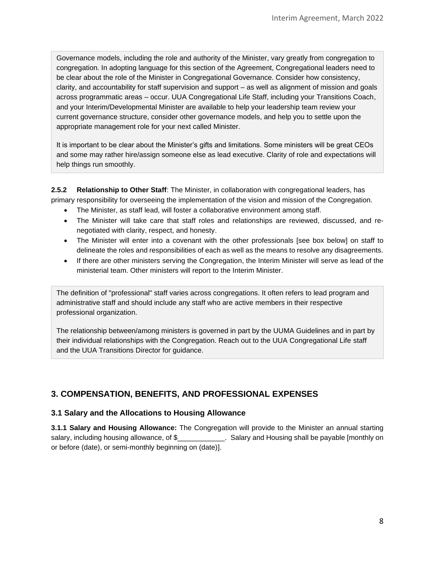Governance models, including the role and authority of the Minister, vary greatly from congregation to congregation. In adopting language for this section of the Agreement, Congregational leaders need to be clear about the role of the Minister in Congregational Governance. Consider how consistency, clarity, and accountability for staff supervision and support – as well as alignment of mission and goals across programmatic areas – occur. UUA Congregational Life Staff, including your Transitions Coach, and your Interim/Developmental Minister are available to help your leadership team review your current governance structure, consider other governance models, and help you to settle upon the appropriate management role for your next called Minister.

It is important to be clear about the Minister's gifts and limitations. Some ministers will be great CEOs and some may rather hire/assign someone else as lead executive. Clarity of role and expectations will help things run smoothly.

**2.5.2 Relationship to Other Staff**: The Minister, in collaboration with congregational leaders, has primary responsibility for overseeing the implementation of the vision and mission of the Congregation.

- The Minister, as staff lead, will foster a collaborative environment among staff.
- The Minister will take care that staff roles and relationships are reviewed, discussed, and renegotiated with clarity, respect, and honesty.
- The Minister will enter into a covenant with the other professionals [see box below] on staff to delineate the roles and responsibilities of each as well as the means to resolve any disagreements.
- If there are other ministers serving the Congregation, the Interim Minister will serve as lead of the ministerial team. Other ministers will report to the Interim Minister.

The definition of "professional" staff varies across congregations. It often refers to lead program and administrative staff and should include any staff who are active members in their respective professional organization.

The relationship between/among ministers is governed in part by the UUMA Guidelines and in part by their individual relationships with the Congregation. Reach out to the UUA Congregational Life staff and the UUA Transitions Director for guidance.

# **3. COMPENSATION, BENEFITS, AND PROFESSIONAL EXPENSES**

#### **3.1 Salary and the Allocations to Housing Allowance**

**3.1.1 Salary and Housing Allowance:** The Congregation will provide to the Minister an annual starting salary, including housing allowance, of \$\_\_\_\_\_\_\_\_\_\_\_\_\_. Salary and Housing shall be payable [monthly on or before (date), or semi-monthly beginning on (date)].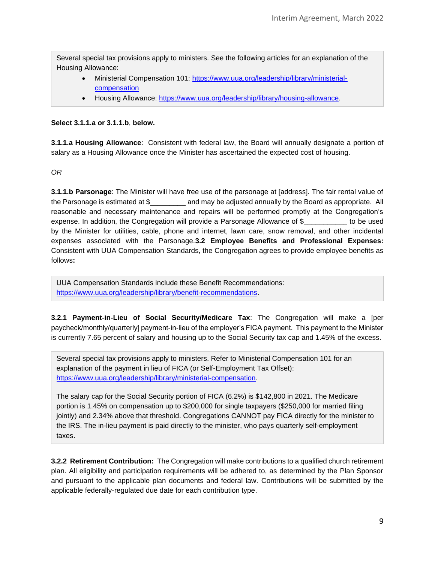Several special tax provisions apply to ministers. See the following articles for an explanation of the Housing Allowance:

- Ministerial Compensation 101: [https://www.uua.org/leadership/library/ministerial](https://www.uua.org/leadership/library/ministerial-compensation)[compensation](https://www.uua.org/leadership/library/ministerial-compensation)
- Housing Allowance: [https://www.uua.org/leadership/library/housing-allowance.](https://www.uua.org/leadership/library/housing-allowance)

#### **Select 3.1.1.a or 3.1.1.b**, **below.**

**3.1.1.a Housing Allowance**: Consistent with federal law, the Board will annually designate a portion of salary as a Housing Allowance once the Minister has ascertained the expected cost of housing.

*OR*

**3.1.1.b Parsonage**: The Minister will have free use of the parsonage at [address]. The fair rental value of the Parsonage is estimated at \$\_\_\_\_\_\_\_\_\_ and may be adjusted annually by the Board as appropriate. All reasonable and necessary maintenance and repairs will be performed promptly at the Congregation's expense. In addition, the Congregation will provide a Parsonage Allowance of \$\_\_\_\_\_\_\_\_\_\_\_ to be used by the Minister for utilities, cable, phone and internet, lawn care, snow removal, and other incidental expenses associated with the Parsonage.**3.2 Employee Benefits and Professional Expenses:**  Consistent with UUA Compensation Standards, the Congregation agrees to provide employee benefits as follows**:**

UUA Compensation Standards include these Benefit Recommendations: [https://www.uua.org/leadership/library/benefit-recommendations.](https://www.uua.org/leadership/library/benefit-recommendations)

**3.2.1 Payment-in-Lieu of Social Security/Medicare Tax**: The Congregation will make a [per paycheck/monthly/quarterly] payment-in-lieu of the employer's FICA payment. This payment to the Minister is currently 7.65 percent of salary and housing up to the Social Security tax cap and 1.45% of the excess.

Several special tax provisions apply to ministers. Refer to Ministerial Compensation 101 for an explanation of the payment in lieu of FICA (or Self-Employment Tax Offset): [https://www.uua.org/leadership/library/ministerial-compensation.](https://www.uua.org/leadership/library/ministerial-compensation)

The salary cap for the Social Security portion of FICA (6.2%) is \$142,800 in 2021. The Medicare portion is 1.45% on compensation up to \$200,000 for single taxpayers (\$250,000 for married filing jointly) and 2.34% above that threshold. Congregations CANNOT pay FICA directly for the minister to the IRS. The in-lieu payment is paid directly to the minister, who pays quarterly self-employment taxes.

**3.2.2 Retirement Contribution:** The Congregation will make contributions to a qualified church retirement plan. All eligibility and participation requirements will be adhered to, as determined by the Plan Sponsor and pursuant to the applicable plan documents and federal law. Contributions will be submitted by the applicable federally-regulated due date for each contribution type.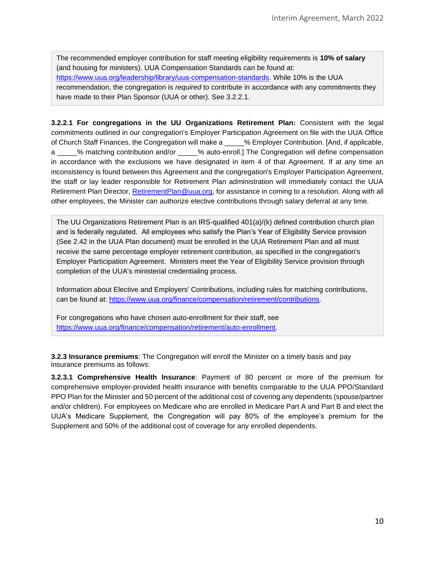The recommended employer contribution for staff meeting eligibility requirements is **10% of salary** (and housing for ministers). UUA Compensation Standards can be found at: [https://www.uua.org/leadership/library/uua-compensation-standards.](https://www.uua.org/leadership/library/uua-compensation-standards) While 10% is the UUA recommendation, the congregation is *required* to contribute in accordance with any commitments they have made to their Plan Sponsor (UUA or other). See 3.2.2.1.

**3.2.2.1 For congregations in the UU Organizations Retirement Plan:** Consistent with the legal commitments outlined in our congregation's Employer Participation Agreement on file with the UUA Office of Church Staff Finances, the Congregation will make a \_\_\_\_\_% Employer Contribution. [And, if applicable, a \_\_\_\_\_% matching contribution and/or \_\_\_\_\_% auto-enroll.] The Congregation will define compensation in accordance with the exclusions we have designated in item 4 of that Agreement. If at any time an inconsistency is found between this Agreement and the congregation's Employer Participation Agreement, the staff or lay leader responsible for Retirement Plan administration will immediately contact the UUA Retirement Plan Director, [RetirementPlan@uua.org,](mailto:RetirementPlan@uua.org) for assistance in coming to a resolution. Along with all other employees, the Minister can authorize elective contributions through salary deferral at any time.

The UU Organizations Retirement Plan is an IRS-qualified 401(a)/(k) defined contribution church plan and is federally regulated. All employees who satisfy the Plan's Year of Eligibility Service provision (See 2.42 in the UUA Plan document) must be enrolled in the UUA Retirement Plan and all must receive the same percentage employer retirement contribution, as specified in the congregation's Employer Participation Agreement. Ministers meet the Year of Eligibility Service provision through completion of the UUA's ministerial credentialing process.

Information about Elective and Employers' Contributions, including rules for matching contributions, can be found at: [https://www.uua.org/finance/compensation/retirement/contributions.](https://www.uua.org/finance/compensation/retirement/contributions)

For congregations who have chosen auto-enrollment for their staff, see [https://www.uua.org/finance/compensation/retirement/auto-enrollment.](https://www.uua.org/finance/compensation/retirement/auto-enrollment)

**3.2.3 Insurance premiums**: The Congregation will enroll the Minister on a timely basis and pay insurance premiums as follows:

**3.2.3.1 Comprehensive Health Insurance**: Payment of 80 percent or more of the premium for comprehensive employer-provided health insurance with benefits comparable to the UUA PPO/Standard PPO Plan for the Minister and 50 percent of the additional cost of covering any dependents (spouse/partner and/or children). For employees on Medicare who are enrolled in Medicare Part A and Part B and elect the UUA's Medicare Supplement, the Congregation will pay 80% of the employee's premium for the Supplement and 50% of the additional cost of coverage for any enrolled dependents.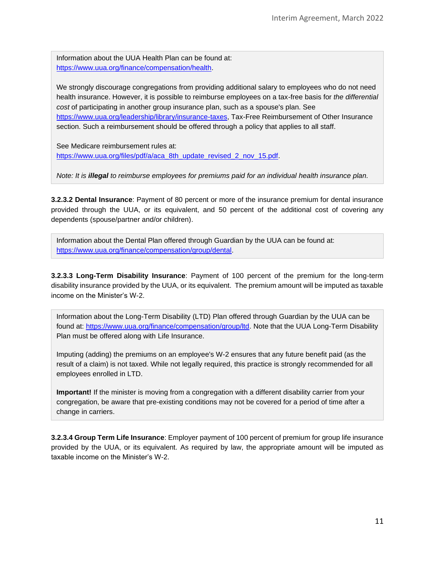Information about the UUA Health Plan can be found at: [https://www.uua.org/finance/compensation/health.](https://www.uua.org/finance/compensation/health)

We strongly discourage congregations from providing additional salary to employees who do not need health insurance. However, it is possible to reimburse employees on a tax-free basis for *the differential cost* of participating in another group insurance plan, such as a spouse's plan. See [https://www.uua.org/leadership/library/insurance-taxes,](https://www.uua.org/leadership/library/insurance-taxes) Tax-Free Reimbursement of Other Insurance section. Such a reimbursement should be offered through a policy that applies to all staff.

See Medicare reimbursement rules at: [https://www.uua.org/files/pdf/a/aca\\_8th\\_update\\_revised\\_2\\_nov\\_15.pdf.](https://www.uua.org/files/pdf/a/aca_8th_update_revised_2_nov_15.pdf)

*Note: It is illegal to reimburse employees for premiums paid for an individual health insurance plan.*

**3.2.3.2 Dental Insurance**: Payment of 80 percent or more of the insurance premium for dental insurance provided through the UUA, or its equivalent, and 50 percent of the additional cost of covering any dependents (spouse/partner and/or children).

Information about the Dental Plan offered through Guardian by the UUA can be found at: [https://www.uua.org/finance/compensation/group/dental.](https://www.uua.org/finance/compensation/group/dental)

**3.2.3.3 Long-Term Disability Insurance**: Payment of 100 percent of the premium for the long-term disability insurance provided by the UUA, or its equivalent. The premium amount will be imputed as taxable income on the Minister's W-2.

Information about the Long-Term Disability (LTD) Plan offered through Guardian by the UUA can be found at: [https://www.uua.org/finance/compensation/group/ltd.](https://www.uua.org/finance/compensation/group/ltd) Note that the UUA Long-Term Disability Plan must be offered along with Life Insurance.

Imputing (adding) the premiums on an employee's W-2 ensures that any future benefit paid (as the result of a claim) is not taxed. While not legally required, this practice is strongly recommended for all employees enrolled in LTD.

**Important!** If the minister is moving from a congregation with a different disability carrier from your congregation, be aware that pre-existing conditions may not be covered for a period of time after a change in carriers.

**3.2.3.4 Group Term Life Insurance**: Employer payment of 100 percent of premium for group life insurance provided by the UUA, or its equivalent. As required by law, the appropriate amount will be imputed as taxable income on the Minister's W-2.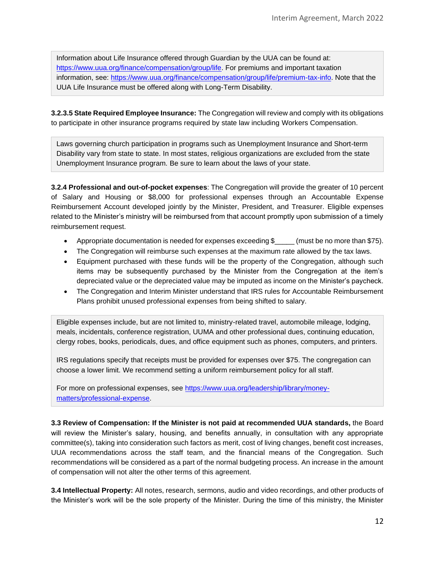Information about Life Insurance offered through Guardian by the UUA can be found at: [https://www.uua.org/finance/compensation/group/life.](https://www.uua.org/finance/compensation/group/life) For premiums and important taxation information, see: [https://www.uua.org/finance/compensation/group/life/premium-tax-info.](https://www.uua.org/finance/compensation/group/life/premium-tax-info) Note that the UUA Life Insurance must be offered along with Long-Term Disability.

**3.2.3.5 State Required Employee Insurance:** The Congregation will review and comply with its obligations to participate in other insurance programs required by state law including Workers Compensation.

Laws governing church participation in programs such as Unemployment Insurance and Short-term Disability vary from state to state. In most states, religious organizations are excluded from the state Unemployment Insurance program. Be sure to learn about the laws of your state.

**3.2.4 Professional and out-of-pocket expenses**: The Congregation will provide the greater of 10 percent of Salary and Housing or \$8,000 for professional expenses through an Accountable Expense Reimbursement Account developed jointly by the Minister, President, and Treasurer. Eligible expenses related to the Minister's ministry will be reimbursed from that account promptly upon submission of a timely reimbursement request.

- Appropriate documentation is needed for expenses exceeding \$\_\_\_\_\_ (must be no more than \$75).
- The Congregation will reimburse such expenses at the maximum rate allowed by the tax laws.
- Equipment purchased with these funds will be the property of the Congregation, although such items may be subsequently purchased by the Minister from the Congregation at the item's depreciated value or the depreciated value may be imputed as income on the Minister's paycheck.
- The Congregation and Interim Minister understand that IRS rules for Accountable Reimbursement Plans prohibit unused professional expenses from being shifted to salary.

Eligible expenses include, but are not limited to, ministry-related travel, automobile mileage, lodging, meals, incidentals, conference registration, UUMA and other professional dues, continuing education, clergy robes, books, periodicals, dues, and office equipment such as phones, computers, and printers.

IRS regulations specify that receipts must be provided for expenses over \$75. The congregation can choose a lower limit. We recommend setting a uniform reimbursement policy for all staff.

For more on professional expenses, see [https://www.uua.org/leadership/library/money](https://www.uua.org/leadership/library/money-matters/professional-expense)[matters/professional-expense.](https://www.uua.org/leadership/library/money-matters/professional-expense)

**3.3 Review of Compensation: If the Minister is not paid at recommended UUA standards,** the Board will review the Minister's salary, housing, and benefits annually, in consultation with any appropriate committee(s), taking into consideration such factors as merit, cost of living changes, benefit cost increases, UUA recommendations across the staff team, and the financial means of the Congregation. Such recommendations will be considered as a part of the normal budgeting process. An increase in the amount of compensation will not alter the other terms of this agreement.

**3.4 Intellectual Property:** All notes, research, sermons, audio and video recordings, and other products of the Minister's work will be the sole property of the Minister. During the time of this ministry, the Minister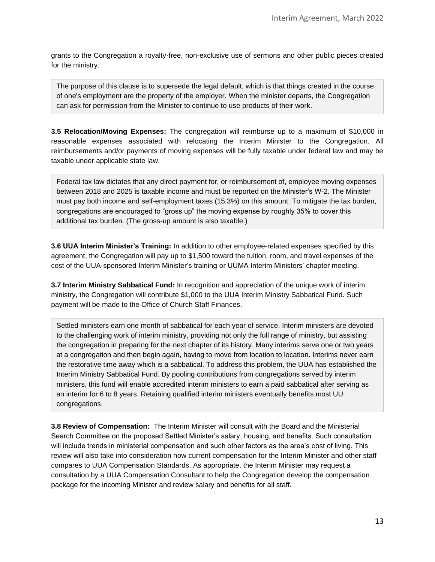grants to the Congregation a royalty-free, non-exclusive use of sermons and other public pieces created for the ministry.

The purpose of this clause is to supersede the legal default, which is that things created in the course of one's employment are the property of the employer. When the minister departs, the Congregation can ask for permission from the Minister to continue to use products of their work.

**3.5 Relocation/Moving Expenses:** The congregation will reimburse up to a maximum of \$10,000 in reasonable expenses associated with relocating the Interim Minister to the Congregation. All reimbursements and/or payments of moving expenses will be fully taxable under federal law and may be taxable under applicable state law.

Federal tax law dictates that any direct payment for, or reimbursement of, employee moving expenses between 2018 and 2025 is taxable income and must be reported on the Minister's W-2. The Minister must pay both income and self-employment taxes (15.3%) on this amount. To mitigate the tax burden, congregations are encouraged to "gross up" the moving expense by roughly 35% to cover this additional tax burden. (The gross-up amount is also taxable.)

**3.6 UUA Interim Minister's Training:** In addition to other employee-related expenses specified by this agreement, the Congregation will pay up to \$1,500 toward the tuition, room, and travel expenses of the cost of the UUA-sponsored Interim Minister's training or UUMA Interim Ministers' chapter meeting.

**3.7 Interim Ministry Sabbatical Fund:** In recognition and appreciation of the unique work of interim ministry, the Congregation will contribute \$1,000 to the UUA Interim Ministry Sabbatical Fund. Such payment will be made to the Office of Church Staff Finances.

Settled ministers earn one month of sabbatical for each year of service. Interim ministers are devoted to the challenging work of interim ministry, providing not only the full range of ministry, but assisting the congregation in preparing for the next chapter of its history. Many interims serve one or two years at a congregation and then begin again, having to move from location to location. Interims never earn the restorative time away which is a sabbatical. To address this problem, the UUA has established the Interim Ministry Sabbatical Fund. By pooling contributions from congregations served by interim ministers, this fund will enable accredited interim ministers to earn a paid sabbatical after serving as an interim for 6 to 8 years. Retaining qualified interim ministers eventually benefits most UU congregations.

**3.8 Review of Compensation:** The Interim Minister will consult with the Board and the Ministerial Search Committee on the proposed Settled Minister's salary, housing, and benefits. Such consultation will include trends in ministerial compensation and such other factors as the area's cost of living. This review will also take into consideration how current compensation for the Interim Minister and other staff compares to UUA Compensation Standards. As appropriate, the Interim Minister may request a consultation by a UUA Compensation Consultant to help the Congregation develop the compensation package for the incoming Minister and review salary and benefits for all staff.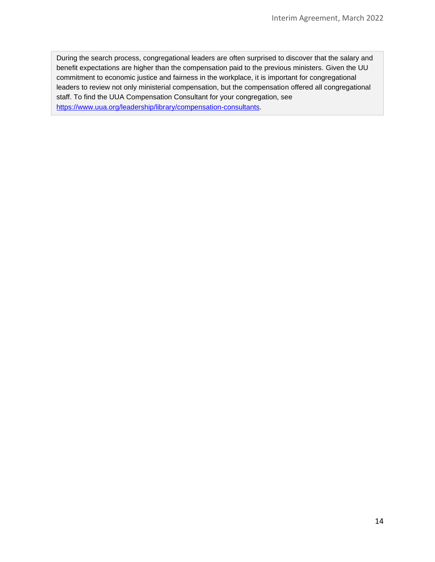During the search process, congregational leaders are often surprised to discover that the salary and benefit expectations are higher than the compensation paid to the previous ministers. Given the UU commitment to economic justice and fairness in the workplace, it is important for congregational leaders to review not only ministerial compensation, but the compensation offered all congregational staff. To find the UUA Compensation Consultant for your congregation, see [https://www.uua.org/leadership/library/compensation-consultants.](https://www.uua.org/leadership/library/compensation-consultants)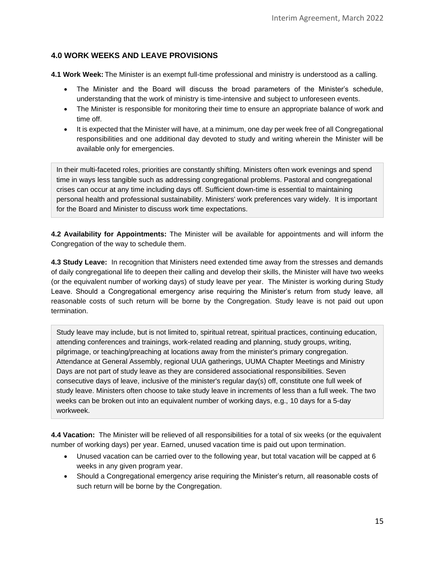#### **4.0 WORK WEEKS AND LEAVE PROVISIONS**

**4.1 Work Week:** The Minister is an exempt full-time professional and ministry is understood as a calling.

- The Minister and the Board will discuss the broad parameters of the Minister's schedule, understanding that the work of ministry is time-intensive and subject to unforeseen events.
- The Minister is responsible for monitoring their time to ensure an appropriate balance of work and time off.
- It is expected that the Minister will have, at a minimum, one day per week free of all Congregational responsibilities and one additional day devoted to study and writing wherein the Minister will be available only for emergencies.

In their multi-faceted roles, priorities are constantly shifting. Ministers often work evenings and spend time in ways less tangible such as addressing congregational problems. Pastoral and congregational crises can occur at any time including days off. Sufficient down-time is essential to maintaining personal health and professional sustainability. Ministers' work preferences vary widely. It is important for the Board and Minister to discuss work time expectations.

**4.2 Availability for Appointments:** The Minister will be available for appointments and will inform the Congregation of the way to schedule them.

**4.3 Study Leave:** In recognition that Ministers need extended time away from the stresses and demands of daily congregational life to deepen their calling and develop their skills, the Minister will have two weeks (or the equivalent number of working days) of study leave per year. The Minister is working during Study Leave. Should a Congregational emergency arise requiring the Minister's return from study leave, all reasonable costs of such return will be borne by the Congregation. Study leave is not paid out upon termination.

Study leave may include, but is not limited to, spiritual retreat, spiritual practices, continuing education, attending conferences and trainings, work-related reading and planning, study groups, writing, pilgrimage, or teaching/preaching at locations away from the minister's primary congregation. Attendance at General Assembly, regional UUA gatherings, UUMA Chapter Meetings and Ministry Days are not part of study leave as they are considered associational responsibilities. Seven consecutive days of leave, inclusive of the minister's regular day(s) off, constitute one full week of study leave. Ministers often choose to take study leave in increments of less than a full week. The two weeks can be broken out into an equivalent number of working days, e.g., 10 days for a 5-day workweek.

**4.4 Vacation:** The Minister will be relieved of all responsibilities for a total of six weeks (or the equivalent number of working days) per year. Earned, unused vacation time is paid out upon termination.

- Unused vacation can be carried over to the following year, but total vacation will be capped at 6 weeks in any given program year.
- Should a Congregational emergency arise requiring the Minister's return, all reasonable costs of such return will be borne by the Congregation.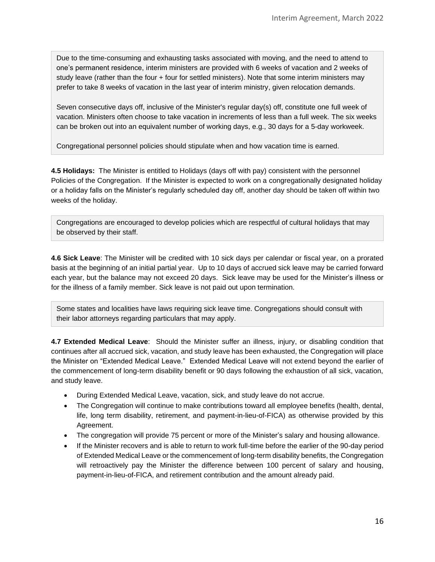Due to the time-consuming and exhausting tasks associated with moving, and the need to attend to one's permanent residence, interim ministers are provided with 6 weeks of vacation and 2 weeks of study leave (rather than the four + four for settled ministers). Note that some interim ministers may prefer to take 8 weeks of vacation in the last year of interim ministry, given relocation demands.

Seven consecutive days off, inclusive of the Minister's regular day(s) off, constitute one full week of vacation. Ministers often choose to take vacation in increments of less than a full week. The six weeks can be broken out into an equivalent number of working days, e.g., 30 days for a 5-day workweek.

Congregational personnel policies should stipulate when and how vacation time is earned.

**4.5 Holidays:** The Minister is entitled to Holidays (days off with pay) consistent with the personnel Policies of the Congregation. If the Minister is expected to work on a congregationally designated holiday or a holiday falls on the Minister's regularly scheduled day off, another day should be taken off within two weeks of the holiday.

Congregations are encouraged to develop policies which are respectful of cultural holidays that may be observed by their staff.

**4.6 Sick Leave**: The Minister will be credited with 10 sick days per calendar or fiscal year, on a prorated basis at the beginning of an initial partial year. Up to 10 days of accrued sick leave may be carried forward each year, but the balance may not exceed 20 days. Sick leave may be used for the Minister's illness or for the illness of a family member. Sick leave is not paid out upon termination.

Some states and localities have laws requiring sick leave time. Congregations should consult with their labor attorneys regarding particulars that may apply.

**4.7 Extended Medical Leave**: Should the Minister suffer an illness, injury, or disabling condition that continues after all accrued sick, vacation, and study leave has been exhausted, the Congregation will place the Minister on "Extended Medical Leave." Extended Medical Leave will not extend beyond the earlier of the commencement of long-term disability benefit or 90 days following the exhaustion of all sick, vacation, and study leave.

- During Extended Medical Leave, vacation, sick, and study leave do not accrue.
- The Congregation will continue to make contributions toward all employee benefits (health, dental, life, long term disability, retirement, and payment-in-lieu-of-FICA) as otherwise provided by this Agreement.
- The congregation will provide 75 percent or more of the Minister's salary and housing allowance.
- If the Minister recovers and is able to return to work full-time before the earlier of the 90-day period of Extended Medical Leave or the commencement of long-term disability benefits, the Congregation will retroactively pay the Minister the difference between 100 percent of salary and housing, payment-in-lieu-of-FICA, and retirement contribution and the amount already paid.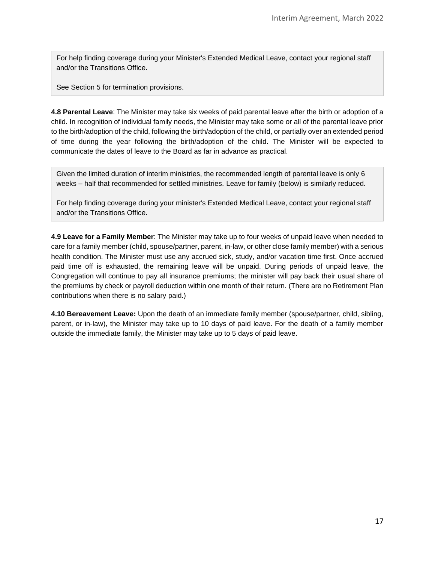For help finding coverage during your Minister's Extended Medical Leave, contact your regional staff and/or the Transitions Office.

See Section 5 for termination provisions.

**4.8 Parental Leave**: The Minister may take six weeks of paid parental leave after the birth or adoption of a child. In recognition of individual family needs, the Minister may take some or all of the parental leave prior to the birth/adoption of the child, following the birth/adoption of the child, or partially over an extended period of time during the year following the birth/adoption of the child. The Minister will be expected to communicate the dates of leave to the Board as far in advance as practical.

Given the limited duration of interim ministries, the recommended length of parental leave is only 6 weeks – half that recommended for settled ministries. Leave for family (below) is similarly reduced.

For help finding coverage during your minister's Extended Medical Leave, contact your regional staff and/or the Transitions Office.

**4.9 Leave for a Family Member**: The Minister may take up to four weeks of unpaid leave when needed to care for a family member (child, spouse/partner, parent, in-law, or other close family member) with a serious health condition. The Minister must use any accrued sick, study, and/or vacation time first. Once accrued paid time off is exhausted, the remaining leave will be unpaid. During periods of unpaid leave, the Congregation will continue to pay all insurance premiums; the minister will pay back their usual share of the premiums by check or payroll deduction within one month of their return. (There are no Retirement Plan contributions when there is no salary paid.)

**4.10 Bereavement Leave:** Upon the death of an immediate family member (spouse/partner, child, sibling, parent, or in-law), the Minister may take up to 10 days of paid leave. For the death of a family member outside the immediate family, the Minister may take up to 5 days of paid leave.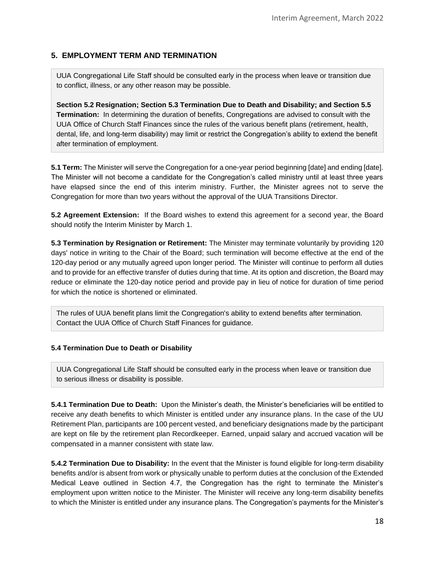## **5. EMPLOYMENT TERM AND TERMINATION**

UUA Congregational Life Staff should be consulted early in the process when leave or transition due to conflict, illness, or any other reason may be possible.

**Section 5.2 Resignation; Section 5.3 Termination Due to Death and Disability; and Section 5.5 Termination:** In determining the duration of benefits, Congregations are advised to consult with the UUA Office of Church Staff Finances since the rules of the various benefit plans (retirement, health, dental, life, and long-term disability) may limit or restrict the Congregation's ability to extend the benefit after termination of employment.

**5.1 Term:** The Minister will serve the Congregation for a one-year period beginning [date] and ending [date]. The Minister will not become a candidate for the Congregation's called ministry until at least three years have elapsed since the end of this interim ministry. Further, the Minister agrees not to serve the Congregation for more than two years without the approval of the UUA Transitions Director.

**5.2 Agreement Extension:** If the Board wishes to extend this agreement for a second year, the Board should notify the Interim Minister by March 1.

**5.3 Termination by Resignation or Retirement:** The Minister may terminate voluntarily by providing 120 days' notice in writing to the Chair of the Board; such termination will become effective at the end of the 120-day period or any mutually agreed upon longer period. The Minister will continue to perform all duties and to provide for an effective transfer of duties during that time. At its option and discretion, the Board may reduce or eliminate the 120-day notice period and provide pay in lieu of notice for duration of time period for which the notice is shortened or eliminated.

The rules of UUA benefit plans limit the Congregation's ability to extend benefits after termination. Contact the UUA Office of Church Staff Finances for guidance.

#### **5.4 Termination Due to Death or Disability**

UUA Congregational Life Staff should be consulted early in the process when leave or transition due to serious illness or disability is possible.

**5.4.1 Termination Due to Death:** Upon the Minister's death, the Minister's beneficiaries will be entitled to receive any death benefits to which Minister is entitled under any insurance plans. In the case of the UU Retirement Plan, participants are 100 percent vested, and beneficiary designations made by the participant are kept on file by the retirement plan Recordkeeper. Earned, unpaid salary and accrued vacation will be compensated in a manner consistent with state law.

**5.4.2 Termination Due to Disability:** In the event that the Minister is found eligible for long-term disability benefits and/or is absent from work or physically unable to perform duties at the conclusion of the Extended Medical Leave outlined in Section 4.7, the Congregation has the right to terminate the Minister's employment upon written notice to the Minister. The Minister will receive any long-term disability benefits to which the Minister is entitled under any insurance plans. The Congregation's payments for the Minister's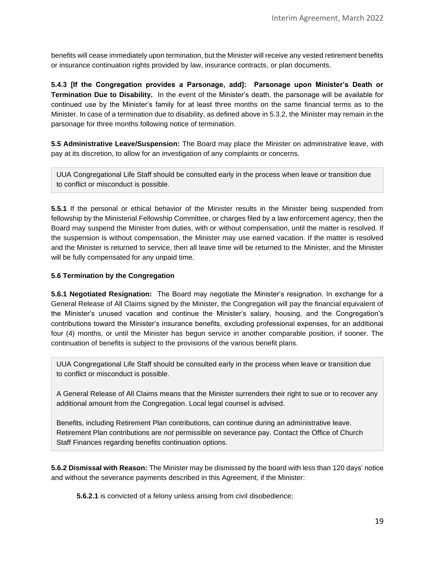benefits will cease immediately upon termination, but the Minister will receive any vested retirement benefits or insurance continuation rights provided by law, insurance contracts, or plan documents.

**5.4.3 [If the Congregation provides a Parsonage, add]: Parsonage upon Minister's Death or Termination Due to Disability.** In the event of the Minister's death, the parsonage will be available for continued use by the Minister's family for at least three months on the same financial terms as to the Minister. In case of a termination due to disability, as defined above in 5.3.2, the Minister may remain in the parsonage for three months following notice of termination.

**5.5 Administrative Leave/Suspension:** The Board may place the Minister on administrative leave, with pay at its discretion, to allow for an investigation of any complaints or concerns.

UUA Congregational Life Staff should be consulted early in the process when leave or transition due to conflict or misconduct is possible.

**5.5.1** If the personal or ethical behavior of the Minister results in the Minister being suspended from fellowship by the Ministerial Fellowship Committee, or charges filed by a law enforcement agency, then the Board may suspend the Minister from duties, with or without compensation, until the matter is resolved. If the suspension is without compensation, the Minister may use earned vacation. If the matter is resolved and the Minister is returned to service, then all leave time will be returned to the Minister, and the Minister will be fully compensated for any unpaid time.

#### **5.6 Termination by the Congregation**

**5.6.1 Negotiated Resignation:** The Board may negotiate the Minister's resignation. In exchange for a General Release of All Claims signed by the Minister, the Congregation will pay the financial equivalent of the Minister's unused vacation and continue the Minister's salary, housing, and the Congregation's contributions toward the Minister's insurance benefits, excluding professional expenses, for an additional four (4) months, or until the Minister has begun service in another comparable position, if sooner. The continuation of benefits is subject to the provisions of the various benefit plans.

UUA Congregational Life Staff should be consulted early in the process when leave or transition due to conflict or misconduct is possible.

A General Release of All Claims means that the Minister surrenders their right to sue or to recover any additional amount from the Congregation. Local legal counsel is advised.

Benefits, including Retirement Plan contributions, can continue during an administrative leave. Retirement Plan contributions are *not* permissible on severance pay. Contact the Office of Church Staff Finances regarding benefits continuation options.

**5.6.2 Dismissal with Reason:** The Minister may be dismissed by the board with less than 120 days' notice and without the severance payments described in this Agreement, if the Minister:

**5.6.2.1** is convicted of a felony unless arising from civil disobedience;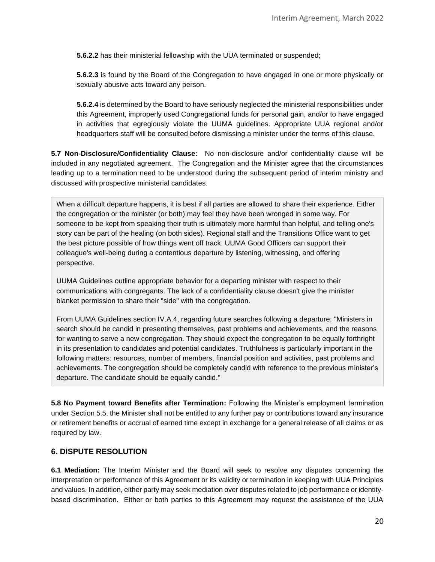**5.6.2.2** has their ministerial fellowship with the UUA terminated or suspended;

**5.6.2.3** is found by the Board of the Congregation to have engaged in one or more physically or sexually abusive acts toward any person.

**5.6.2.4** is determined by the Board to have seriously neglected the ministerial responsibilities under this Agreement, improperly used Congregational funds for personal gain, and/or to have engaged in activities that egregiously violate the UUMA guidelines. Appropriate UUA regional and/or headquarters staff will be consulted before dismissing a minister under the terms of this clause.

**5.7 Non-Disclosure/Confidentiality Clause:** No non-disclosure and/or confidentiality clause will be included in any negotiated agreement. The Congregation and the Minister agree that the circumstances leading up to a termination need to be understood during the subsequent period of interim ministry and discussed with prospective ministerial candidates.

When a difficult departure happens, it is best if all parties are allowed to share their experience. Either the congregation or the minister (or both) may feel they have been wronged in some way. For someone to be kept from speaking their truth is ultimately more harmful than helpful, and telling one's story can be part of the healing (on both sides). Regional staff and the Transitions Office want to get the best picture possible of how things went off track. UUMA Good Officers can support their colleague's well-being during a contentious departure by listening, witnessing, and offering perspective.

UUMA Guidelines outline appropriate behavior for a departing minister with respect to their communications with congregants. The lack of a confidentiality clause doesn't give the minister blanket permission to share their "side" with the congregation.

From UUMA Guidelines section IV.A.4, regarding future searches following a departure: "Ministers in search should be candid in presenting themselves, past problems and achievements, and the reasons for wanting to serve a new congregation. They should expect the congregation to be equally forthright in its presentation to candidates and potential candidates. Truthfulness is particularly important in the following matters: resources, number of members, financial position and activities, past problems and achievements. The congregation should be completely candid with reference to the previous minister's departure. The candidate should be equally candid."

**5.8 No Payment toward Benefits after Termination:** Following the Minister's employment termination under Section 5.5, the Minister shall not be entitled to any further pay or contributions toward any insurance or retirement benefits or accrual of earned time except in exchange for a general release of all claims or as required by law.

#### **6. DISPUTE RESOLUTION**

**6.1 Mediation:** The Interim Minister and the Board will seek to resolve any disputes concerning the interpretation or performance of this Agreement or its validity or termination in keeping with UUA Principles and values. In addition, either party may seek mediation over disputes related to job performance or identitybased discrimination. Either or both parties to this Agreement may request the assistance of the UUA